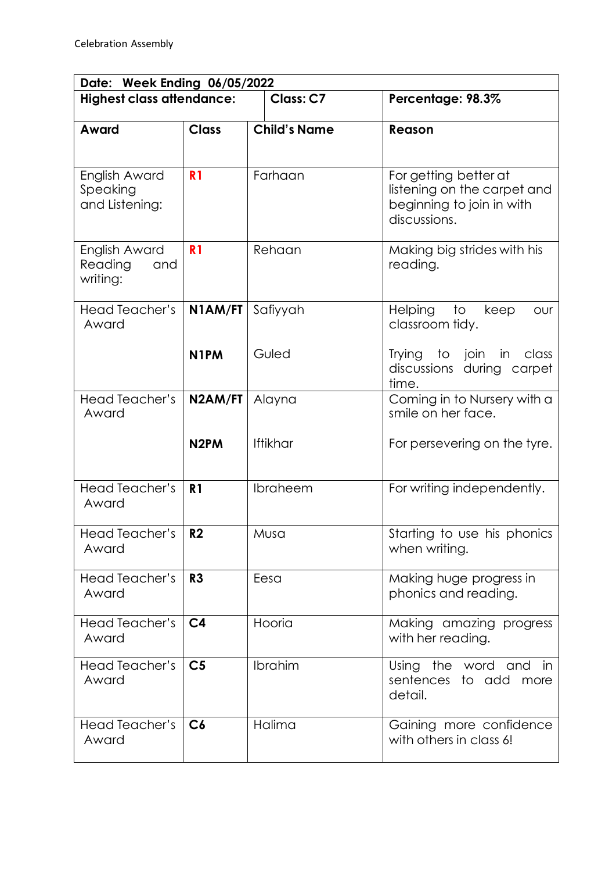| Date: Week Ending 06/05/2022                |                   |                     |                                                                                                   |  |  |
|---------------------------------------------|-------------------|---------------------|---------------------------------------------------------------------------------------------------|--|--|
| <b>Highest class attendance:</b>            |                   | Class: C7           | Percentage: 98.3%                                                                                 |  |  |
| Award                                       | <b>Class</b>      | <b>Child's Name</b> | Reason                                                                                            |  |  |
|                                             |                   |                     |                                                                                                   |  |  |
| English Award<br>Speaking<br>and Listening: | R <sub>1</sub>    | Farhaan             | For getting better at<br>listening on the carpet and<br>beginning to join in with<br>discussions. |  |  |
| English Award<br>Reading<br>and<br>writing: | R <sub>1</sub>    | Rehaan              | Making big strides with his<br>reading.                                                           |  |  |
| <b>Head Teacher's</b><br>Award              | N1AM/FT           | Safiyyah            | Helping<br>to<br>keep<br><b>OUr</b><br>classroom tidy.                                            |  |  |
|                                             | N <sub>1</sub> PM | Guled               | Trying to join in<br>class<br>discussions during carpet<br>time.                                  |  |  |
| <b>Head Teacher's</b><br>Award              | N2AM/FT           | Alayna              | Coming in to Nursery with a<br>smile on her face.                                                 |  |  |
|                                             | N <sub>2</sub> PM | <b>Iftikhar</b>     | For persevering on the tyre.                                                                      |  |  |
| <b>Head Teacher's</b><br>Award              | R <sub>1</sub>    | Ibraheem            | For writing independently.                                                                        |  |  |
| Head Teacher's<br>Award                     | R <sub>2</sub>    | Musa                | Starting to use his phonics<br>when writing.                                                      |  |  |
| Head Teacher's<br>Award                     | R3                | Eesa                | Making huge progress in<br>phonics and reading.                                                   |  |  |
| Head Teacher's<br>Award                     | C <sub>4</sub>    | Hooria              | Making amazing progress<br>with her reading.                                                      |  |  |
| Head Teacher's<br>Award                     | C <sub>5</sub>    | Ibrahim             | the<br>Using<br>word<br>and<br>-in<br>sentences to add more<br>detail.                            |  |  |
| Head Teacher's<br>Award                     | C6                | Halima              | Gaining more confidence<br>with others in class 6!                                                |  |  |